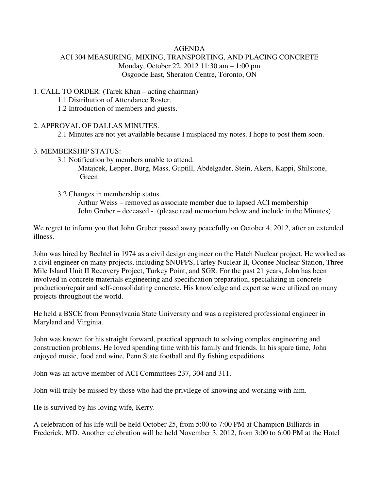#### AGENDA

### ACI 304 MEASURING, MIXING, TRANSPORTING, AND PLACING CONCRETE Monday, October 22, 2012 11:30 am – 1:00 pm Osgoode East, Sheraton Centre, Toronto, ON

### 1. CALL TO ORDER: (Tarek Khan – acting chairman)

1.1 Distribution of Attendance Roster.

1.2 Introduction of members and guests.

#### 2. APPROVAL OF DALLAS MINUTES.

2.1 Minutes are not yet available because I misplaced my notes. I hope to post them soon.

### 3. MEMBERSHIP STATUS:

3.1 Notification by members unable to attend.

 Matajcek, Lepper, Burg, Mass, Guptill, Abdelgader, Stein, Akers, Kappi, Shilstone, Green

3.2 Changes in membership status.

 Arthur Weiss – removed as associate member due to lapsed ACI membership John Gruber – deceased - (please read memorium below and include in the Minutes)

We regret to inform you that John Gruber passed away peacefully on October 4, 2012, after an extended illness.

John was hired by Bechtel in 1974 as a civil design engineer on the Hatch Nuclear project. He worked as a civil engineer on many projects, including SNUPPS, Farley Nuclear II, Oconee Nuclear Station, Three Mile Island Unit II Recovery Project, Turkey Point, and SGR. For the past 21 years, John has been involved in concrete materials engineering and specification preparation, specializing in concrete production/repair and self-consolidating concrete. His knowledge and expertise were utilized on many projects throughout the world.

He held a BSCE from Pennsylvania State University and was a registered professional engineer in Maryland and Virginia.

John was known for his straight forward, practical approach to solving complex engineering and construction problems. He loved spending time with his family and friends. In his spare time, John enjoyed music, food and wine, Penn State football and fly fishing expeditions.

John was an active member of ACI Committees 237, 304 and 311.

John will truly be missed by those who had the privilege of knowing and working with him.

He is survived by his loving wife, Kerry.

A celebration of his life will be held October 25, from 5:00 to 7:00 PM at Champion Billiards in Frederick, MD. Another celebration will be held November 3, 2012, from 3:00 to 6:00 PM at the Hotel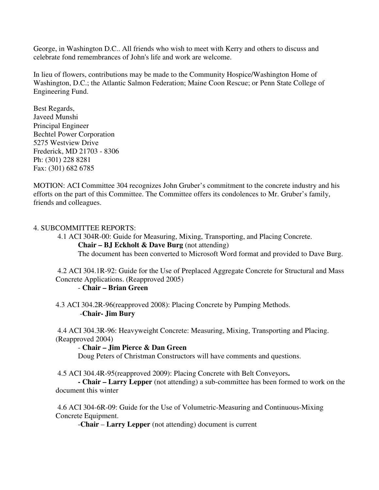George, in Washington D.C.. All friends who wish to meet with Kerry and others to discuss and celebrate fond remembrances of John's life and work are welcome.

In lieu of flowers, contributions may be made to the Community Hospice/Washington Home of Washington, D.C.; the Atlantic Salmon Federation; Maine Coon Rescue; or Penn State College of Engineering Fund.

Best Regards, Javeed Munshi Principal Engineer Bechtel Power Corporation 5275 Westview Drive Frederick, MD 21703 - 8306 Ph: (301) 228 8281 Fax: (301) 682 6785

MOTION: ACI Committee 304 recognizes John Gruber's commitment to the concrete industry and his efforts on the part of this Committee. The Committee offers its condolences to Mr. Gruber's family, friends and colleagues.

#### 4. SUBCOMMITTEE REPORTS:

4.1 ACI 304R-00: Guide for Measuring, Mixing, Transporting, and Placing Concrete.

**Chair – BJ Eckholt & Dave Burg** (not attending)

The document has been converted to Microsoft Word format and provided to Dave Burg.

 4.2 ACI 304.1R-92: Guide for the Use of Preplaced Aggregate Concrete for Structural and Mass Concrete Applications. (Reapproved 2005)

#### - **Chair – Brian Green**

 4.3 ACI 304.2R-96(reapproved 2008): Placing Concrete by Pumping Methods. -**Chair- Jim Bury** 

 4.4 ACI 304.3R-96: Heavyweight Concrete: Measuring, Mixing, Transporting and Placing. (Reapproved 2004)

#### - **Chair – Jim Pierce & Dan Green**

Doug Peters of Christman Constructors will have comments and questions.

4.5 ACI 304.4R-95(reapproved 2009): Placing Concrete with Belt Conveyors**.** 

 **- Chair – Larry Lepper** (not attending) a sub-committee has been formed to work on the document this winter

 4.6 ACI 304-6R-09: Guide for the Use of Volumetric-Measuring and Continuous-Mixing Concrete Equipment.

-**Chair** – **Larry Lepper** (not attending) document is current